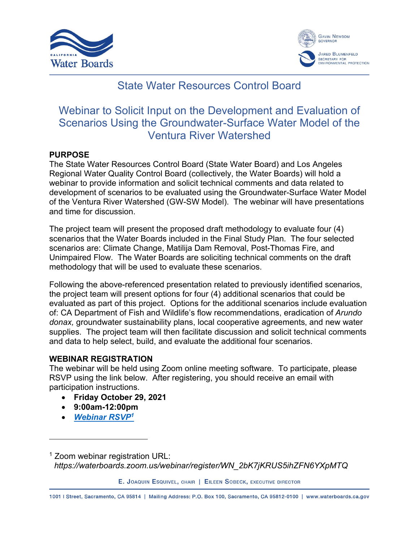



# State Water Resources Control Board

# Webinar to Solicit Input on the Development and Evaluation of Scenarios Using the Groundwater-Surface Water Model of the Ventura River Watershed

# **PURPOSE**

The State Water Resources Control Board (State Water Board) and Los Angeles Regional Water Quality Control Board (collectively, the Water Boards) will hold a webinar to provide information and solicit technical comments and data related to development of scenarios to be evaluated using the Groundwater-Surface Water Model of the Ventura River Watershed (GW-SW Model). The webinar will have presentations and time for discussion.

The project team will present the proposed draft methodology to evaluate four (4) scenarios that the Water Boards included in the Final Study Plan. The four selected scenarios are: Climate Change, Matilija Dam Removal, Post-Thomas Fire, and Unimpaired Flow. The Water Boards are soliciting technical comments on the draft methodology that will be used to evaluate these scenarios.

Following the above-referenced presentation related to previously identified scenarios, the project team will present options for four (4) additional scenarios that could be evaluated as part of this project. Options for the additional scenarios include evaluation of: CA Department of Fish and Wildlife's flow recommendations, eradication of *Arundo donax,* groundwater sustainability plans, local cooperative agreements, and new water supplies. The project team will then facilitate discussion and solicit technical comments and data to help select, build, and evaluate the additional four scenarios.

#### **WEBINAR REGISTRATION**

The webinar will be held using Zoom online meeting software. To participate, please RSVP using the link below. After registering, you should receive an email with participation instructions.

- · **Friday October 29, 2021**
- · **9:00am-12:00pm**
- · *[Webinar RSVP](https://waterboards.zoom.us/webinar/register/WN_2bK7jKRUS5ihZFN6YXpMTQ)[1](#page-0-0)*

<span id="page-0-0"></span><sup>1</sup> Zoom webinar registration URL: *https://waterboards.zoom.us/webinar/register/WN\_2bK7jKRUS5ihZFN6YXpMTQ*

E. JOAQUIN ESQUIVEL, CHAIR | EILEEN SOBECK, EXECUTIVE DIRECTOR

1001 | Street, Sacramento, CA 95814 | Mailing Address: P.O. Box 100, Sacramento, CA 95812-0100 | www.waterboards.ca.gov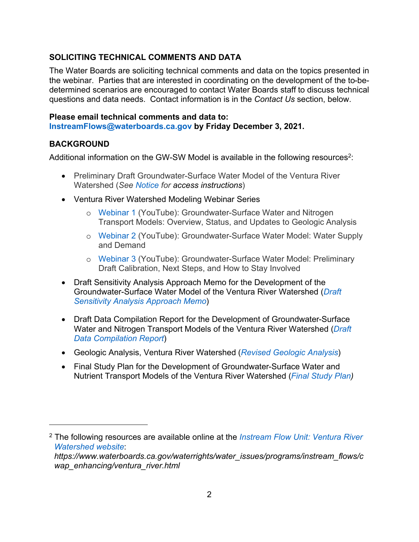#### **SOLICITING TECHNICAL COMMENTS AND DATA**

The Water Boards are soliciting technical comments and data on the topics presented in the webinar. Parties that are interested in coordinating on the development of the to-bedetermined scenarios are encouraged to contact Water Boards staff to discuss technical questions and data needs. Contact information is in the *Contact Us* section, below.

## **Please email technical comments and data to:**

**[InstreamFlows@waterboards.ca.gov](mailto:InstreamFlows@waterboards.ca.gov) by Friday December 3, 2021.**

## **BACKGROUND**

Additional information on the GW-SW Model is available in the following resources<sup>[2](#page-1-0)</sup>:

- · Preliminary Draft Groundwater-Surface Water Model of the Ventura River Watershed (*See [Notice](https://www.waterboards.ca.gov/waterrights/water_issues/programs/instream_flows/cwap_enhancing/docs/ventura_river/notice_prelim_draft_vrw_gw-sw_model.pdf) for access instructions*)
- · Ventura River Watershed Modeling Webinar Series
	- o [Webinar](https://youtube.com/embed/NazmbGD10AE?modestbranding=1&rel=0&autoplay=1) 1 (YouTube): Groundwater-Surface Water and Nitrogen Transport Models: Overview, Status, and Updates to Geologic Analysis
	- o [Webinar](https://youtube.com/embed/KjjxHeV5rDg?modestbranding=1&rel=0&autoplay=1) 2 (YouTube): Groundwater-Surface Water Model: Water Supply and Demand
	- o [Webinar](https://youtube.com/embed/oJjA7y9xKtQ?modestbranding=1&rel=0&autoplay=1) 3 (YouTube): Groundwater-Surface Water Model: Preliminary Draft Calibration, Next Steps, and How to Stay Involved
- · Draft Sensitivity Analysis Approach Memo for the Development of the Groundwater-Surface Water Model of the Ventura River Watershed (*[Draft](https://www.waterboards.ca.gov/waterrights/water_issues/programs/instream_flows/cwap_enhancing/docs/ventura_river/vrw_saa_draft.pdf) [Sensitivity Analysis Approach Memo](https://www.waterboards.ca.gov/waterrights/water_issues/programs/instream_flows/cwap_enhancing/docs/ventura_river/vrw_saa_draft.pdf)*)
- · Draft Data Compilation Report for the Development of Groundwater-Surface Water and Nitrogen Transport Models of the Ventura River Watershed (*[Draft](https://www.waterboards.ca.gov/waterrights/water_issues/programs/instream_flows/cwap_enhancing/docs/vrw_dr_draft.zip) [Data Compilation Report](https://www.waterboards.ca.gov/waterrights/water_issues/programs/instream_flows/cwap_enhancing/docs/vrw_dr_draft.zip)*)
- · Geologic Analysis, Ventura River Watershed (*[Revised Geologic Analysis](https://www.waterboards.ca.gov/waterrights/water_issues/programs/instream_flows/cwap_enhancing/docs/vrw_ga_final.pdf)*)
- Final Study Plan for the Development of Groundwater-Surface Water and Nutrient Transport Models of the Ventura River Watershed (*[Final Study Plan\)](https://www.waterboards.ca.gov/waterrights/water_issues/programs/instream_flows/cwap_enhancing/docs/vrw_sp_final.pdf)*

<span id="page-1-0"></span><sup>2</sup> The following resources are available online at the *[Instream Flow Unit: Ventura River](https://www.waterboards.ca.gov/waterrights/water_issues/programs/instream_flows/cwap_enhancing/ventura_river.html)  [Watershed website](https://www.waterboards.ca.gov/waterrights/water_issues/programs/instream_flows/cwap_enhancing/ventura_river.html)*: *https://www.waterboards.ca.gov/waterrights/water\_issues/programs/instream\_flows/c*

*wap\_enhancing/ventura\_river.html*